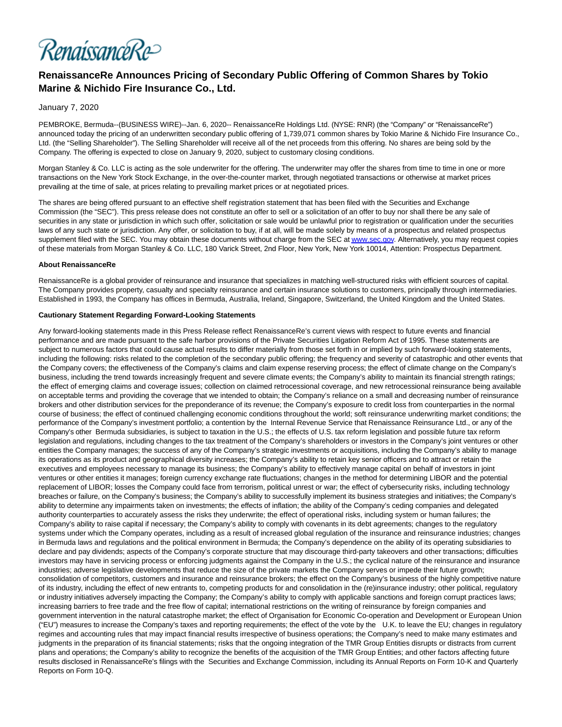

# **RenaissanceRe Announces Pricing of Secondary Public Offering of Common Shares by Tokio Marine & Nichido Fire Insurance Co., Ltd.**

### January 7, 2020

PEMBROKE, Bermuda--(BUSINESS WIRE)--Jan. 6, 2020-- RenaissanceRe Holdings Ltd. (NYSE: RNR) (the "Company" or "RenaissanceRe") announced today the pricing of an underwritten secondary public offering of 1,739,071 common shares by Tokio Marine & Nichido Fire Insurance Co., Ltd. (the "Selling Shareholder"). The Selling Shareholder will receive all of the net proceeds from this offering. No shares are being sold by the Company. The offering is expected to close on January 9, 2020, subject to customary closing conditions.

Morgan Stanley & Co. LLC is acting as the sole underwriter for the offering. The underwriter may offer the shares from time to time in one or more transactions on the New York Stock Exchange, in the over-the-counter market, through negotiated transactions or otherwise at market prices prevailing at the time of sale, at prices relating to prevailing market prices or at negotiated prices.

The shares are being offered pursuant to an effective shelf registration statement that has been filed with the Securities and Exchange Commission (the "SEC"). This press release does not constitute an offer to sell or a solicitation of an offer to buy nor shall there be any sale of securities in any state or jurisdiction in which such offer, solicitation or sale would be unlawful prior to registration or qualification under the securities laws of any such state or jurisdiction. Any offer, or solicitation to buy, if at all, will be made solely by means of a prospectus and related prospectus supplement filed with the SEC. You may obtain these documents without charge from the SEC a[t www.sec.gov.](https://cts.businesswire.com/ct/CT?id=smartlink&url=http%3A%2F%2Fwww.sec.gov&esheet=52154109&newsitemid=20200106006042&lan=en-US&anchor=www.sec.gov&index=1&md5=042e9b3b4f5ffbfe2cf936bedb126ae7) Alternatively, you may request copies of these materials from Morgan Stanley & Co. LLC, 180 Varick Street, 2nd Floor, New York, New York 10014, Attention: Prospectus Department.

#### **About RenaissanceRe**

RenaissanceRe is a global provider of reinsurance and insurance that specializes in matching well-structured risks with efficient sources of capital. The Company provides property, casualty and specialty reinsurance and certain insurance solutions to customers, principally through intermediaries. Established in 1993, the Company has offices in Bermuda, Australia, Ireland, Singapore, Switzerland, the United Kingdom and the United States.

#### **Cautionary Statement Regarding Forward-Looking Statements**

Any forward-looking statements made in this Press Release reflect RenaissanceRe's current views with respect to future events and financial performance and are made pursuant to the safe harbor provisions of the Private Securities Litigation Reform Act of 1995. These statements are subject to numerous factors that could cause actual results to differ materially from those set forth in or implied by such forward-looking statements, including the following: risks related to the completion of the secondary public offering; the frequency and severity of catastrophic and other events that the Company covers; the effectiveness of the Company's claims and claim expense reserving process; the effect of climate change on the Company's business, including the trend towards increasingly frequent and severe climate events; the Company's ability to maintain its financial strength ratings; the effect of emerging claims and coverage issues; collection on claimed retrocessional coverage, and new retrocessional reinsurance being available on acceptable terms and providing the coverage that we intended to obtain; the Company's reliance on a small and decreasing number of reinsurance brokers and other distribution services for the preponderance of its revenue; the Company's exposure to credit loss from counterparties in the normal course of business; the effect of continued challenging economic conditions throughout the world; soft reinsurance underwriting market conditions; the performance of the Company's investment portfolio; a contention by the Internal Revenue Service that Renaissance Reinsurance Ltd., or any of the Company's other Bermuda subsidiaries, is subject to taxation in the U.S.; the effects of U.S. tax reform legislation and possible future tax reform legislation and regulations, including changes to the tax treatment of the Company's shareholders or investors in the Company's joint ventures or other entities the Company manages; the success of any of the Company's strategic investments or acquisitions, including the Company's ability to manage its operations as its product and geographical diversity increases; the Company's ability to retain key senior officers and to attract or retain the executives and employees necessary to manage its business; the Company's ability to effectively manage capital on behalf of investors in joint ventures or other entities it manages; foreign currency exchange rate fluctuations; changes in the method for determining LIBOR and the potential replacement of LIBOR; losses the Company could face from terrorism, political unrest or war; the effect of cybersecurity risks, including technology breaches or failure, on the Company's business; the Company's ability to successfully implement its business strategies and initiatives; the Company's ability to determine any impairments taken on investments; the effects of inflation; the ability of the Company's ceding companies and delegated authority counterparties to accurately assess the risks they underwrite; the effect of operational risks, including system or human failures; the Company's ability to raise capital if necessary; the Company's ability to comply with covenants in its debt agreements; changes to the regulatory systems under which the Company operates, including as a result of increased global regulation of the insurance and reinsurance industries; changes in Bermuda laws and regulations and the political environment in Bermuda; the Company's dependence on the ability of its operating subsidiaries to declare and pay dividends; aspects of the Company's corporate structure that may discourage third-party takeovers and other transactions; difficulties investors may have in servicing process or enforcing judgments against the Company in the U.S.; the cyclical nature of the reinsurance and insurance industries; adverse legislative developments that reduce the size of the private markets the Company serves or impede their future growth; consolidation of competitors, customers and insurance and reinsurance brokers; the effect on the Company's business of the highly competitive nature of its industry, including the effect of new entrants to, competing products for and consolidation in the (re)insurance industry; other political, regulatory or industry initiatives adversely impacting the Company; the Company's ability to comply with applicable sanctions and foreign corrupt practices laws; increasing barriers to free trade and the free flow of capital; international restrictions on the writing of reinsurance by foreign companies and government intervention in the natural catastrophe market; the effect of Organisation for Economic Co-operation and Development or European Union ("EU") measures to increase the Company's taxes and reporting requirements; the effect of the vote by the U.K. to leave the EU; changes in regulatory regimes and accounting rules that may impact financial results irrespective of business operations; the Company's need to make many estimates and judgments in the preparation of its financial statements; risks that the ongoing integration of the TMR Group Entities disrupts or distracts from current plans and operations; the Company's ability to recognize the benefits of the acquisition of the TMR Group Entities; and other factors affecting future results disclosed in RenaissanceRe's filings with the Securities and Exchange Commission, including its Annual Reports on Form 10-K and Quarterly Reports on Form 10-Q.